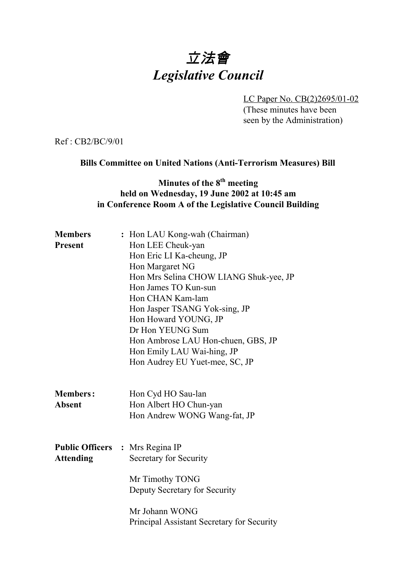# 立法會 *Legislative Council*

LC Paper No. CB(2)2695/01-02 (These minutes have been seen by the Administration)

Ref : CB2/BC/9/01

#### **Bills Committee on United Nations (Anti-Terrorism Measures) Bill**

## **Minutes of the 8<sup>th</sup> meeting held on Wednesday, 19 June 2002 at 10:45 am in Conference Room A of the Legislative Council Building**

| <b>Members</b>                         | : Hon LAU Kong-wah (Chairman)              |
|----------------------------------------|--------------------------------------------|
| <b>Present</b>                         | Hon LEE Cheuk-yan                          |
|                                        | Hon Eric LI Ka-cheung, JP                  |
|                                        | Hon Margaret NG                            |
|                                        | Hon Mrs Selina CHOW LIANG Shuk-yee, JP     |
|                                        | Hon James TO Kun-sun                       |
|                                        | Hon CHAN Kam-lam                           |
|                                        | Hon Jasper TSANG Yok-sing, JP              |
|                                        | Hon Howard YOUNG, JP                       |
|                                        | Dr Hon YEUNG Sum                           |
|                                        | Hon Ambrose LAU Hon-chuen, GBS, JP         |
|                                        | Hon Emily LAU Wai-hing, JP                 |
|                                        | Hon Audrey EU Yuet-mee, SC, JP             |
|                                        |                                            |
|                                        |                                            |
| <b>Members:</b>                        | Hon Cyd HO Sau-lan                         |
| <b>Absent</b>                          | Hon Albert HO Chun-yan                     |
|                                        | Hon Andrew WONG Wang-fat, JP               |
|                                        |                                            |
|                                        |                                            |
| <b>Public Officers : Mrs Regina IP</b> |                                            |
| <b>Attending</b>                       | Secretary for Security                     |
|                                        |                                            |
|                                        | Mr Timothy TONG                            |
|                                        | Deputy Secretary for Security              |
|                                        |                                            |
|                                        | Mr Johann WONG                             |
|                                        | Principal Assistant Secretary for Security |
|                                        |                                            |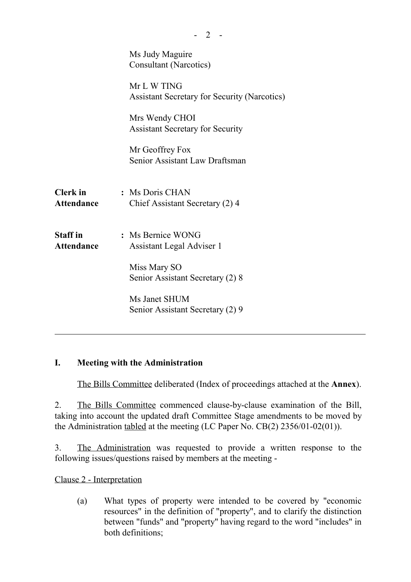|                                      | Ms Judy Maguire<br><b>Consultant (Narcotics)</b>                   |
|--------------------------------------|--------------------------------------------------------------------|
|                                      | Mr L W TING<br><b>Assistant Secretary for Security (Narcotics)</b> |
|                                      | Mrs Wendy CHOI<br><b>Assistant Secretary for Security</b>          |
|                                      | Mr Geoffrey Fox<br>Senior Assistant Law Draftsman                  |
| <b>Clerk</b> in<br><b>Attendance</b> | : Ms Doris CHAN<br>Chief Assistant Secretary (2) 4                 |
| <b>Staff</b> in<br><b>Attendance</b> | : Ms Bernice WONG<br>Assistant Legal Adviser 1<br>Miss Mary SO     |
|                                      | Senior Assistant Secretary (2) 8                                   |
|                                      | Ms Janet SHUM<br>Senior Assistant Secretary (2) 9                  |
|                                      |                                                                    |

 $- 2 -$ 

### **I. Meeting with the Administration**

The Bills Committee deliberated (Index of proceedings attached at the **Annex**).

2. The Bills Committee commenced clause-by-clause examination of the Bill, taking into account the updated draft Committee Stage amendments to be moved by the Administration tabled at the meeting (LC Paper No. CB(2) 2356/01-02(01)).

3. The Administration was requested to provide a written response to the following issues/questions raised by members at the meeting -

Clause 2 - Interpretation

(a) What types of property were intended to be covered by "economic resources" in the definition of "property", and to clarify the distinction between "funds" and "property" having regard to the word "includes" in both definitions;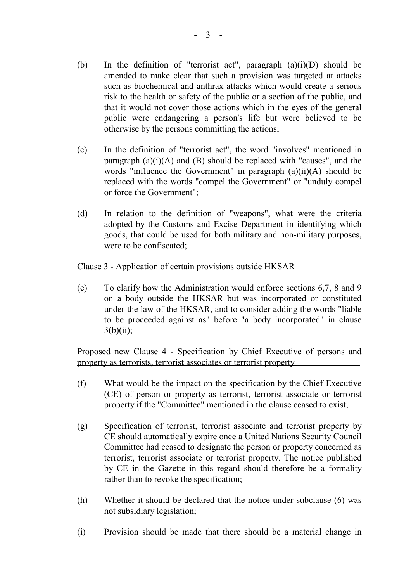- (b) In the definition of "terrorist act", paragraph  $(a)(i)(D)$  should be amended to make clear that such a provision was targeted at attacks such as biochemical and anthrax attacks which would create a serious risk to the health or safety of the public or a section of the public, and that it would not cover those actions which in the eyes of the general public were endangering a person's life but were believed to be otherwise by the persons committing the actions;
- (c) In the definition of "terrorist act", the word "involves" mentioned in paragraph  $(a)(i)(A)$  and  $(B)$  should be replaced with "causes", and the words "influence the Government" in paragraph (a)(ii)(A) should be replaced with the words "compel the Government" or "unduly compel or force the Government";
- (d) In relation to the definition of "weapons", what were the criteria adopted by the Customs and Excise Department in identifying which goods, that could be used for both military and non-military purposes, were to be confiscated;

#### Clause 3 - Application of certain provisions outside HKSAR

(e) To clarify how the Administration would enforce sections 6,7, 8 and 9 on a body outside the HKSAR but was incorporated or constituted under the law of the HKSAR, and to consider adding the words "liable to be proceeded against as" before "a body incorporated" in clause  $3(b)(ii)$ ;

Proposed new Clause 4 - Specification by Chief Executive of persons and property as terrorists, terrorist associates or terrorist property

- (f) What would be the impact on the specification by the Chief Executive (CE) of person or property as terrorist, terrorist associate or terrorist property if the "Committee" mentioned in the clause ceased to exist;
- (g) Specification of terrorist, terrorist associate and terrorist property by CE should automatically expire once a United Nations Security Council Committee had ceased to designate the person or property concerned as terrorist, terrorist associate or terrorist property. The notice published by CE in the Gazette in this regard should therefore be a formality rather than to revoke the specification;
- (h) Whether it should be declared that the notice under subclause (6) was not subsidiary legislation;
- (i) Provision should be made that there should be a material change in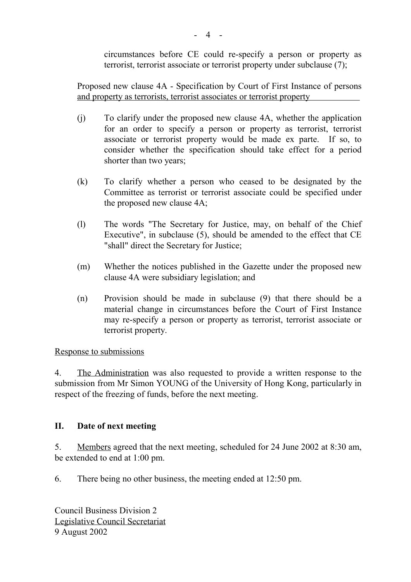circumstances before CE could re-specify a person or property as terrorist, terrorist associate or terrorist property under subclause (7);

Proposed new clause 4A - Specification by Court of First Instance of persons and property as terrorists, terrorist associates or terrorist property

- (j) To clarify under the proposed new clause 4A, whether the application for an order to specify a person or property as terrorist, terrorist associate or terrorist property would be made ex parte. If so, to consider whether the specification should take effect for a period shorter than two years;
- (k) To clarify whether a person who ceased to be designated by the Committee as terrorist or terrorist associate could be specified under the proposed new clause 4A;
- (l) The words "The Secretary for Justice, may, on behalf of the Chief Executive", in subclause (5), should be amended to the effect that CE "shall" direct the Secretary for Justice;
- (m) Whether the notices published in the Gazette under the proposed new clause 4A were subsidiary legislation; and
- (n) Provision should be made in subclause (9) that there should be a material change in circumstances before the Court of First Instance may re-specify a person or property as terrorist, terrorist associate or terrorist property.

Response to submissions

4. The Administration was also requested to provide a written response to the submission from Mr Simon YOUNG of the University of Hong Kong, particularly in respect of the freezing of funds, before the next meeting.

### **II. Date of next meeting**

5. Members agreed that the next meeting, scheduled for 24 June 2002 at 8:30 am, be extended to end at 1:00 pm.

6. There being no other business, the meeting ended at 12:50 pm.

Council Business Division 2 Legislative Council Secretariat 9 August 2002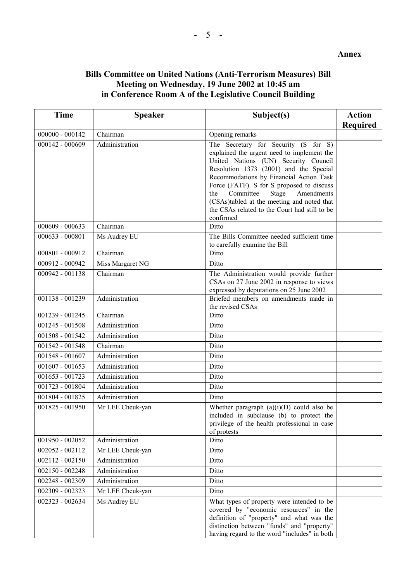#### **Bills Committee on United Nations (Anti-Terrorism Measures) Bill Meeting on Wednesday, 19 June 2002 at 10:45 am in Conference Room A of the Legislative Council Building**

| <b>Time</b>       | <b>Speaker</b>   | Subject(s)                                                                                                                                                                                                                                                                                                                                                                                                          | <b>Action</b><br><b>Required</b> |
|-------------------|------------------|---------------------------------------------------------------------------------------------------------------------------------------------------------------------------------------------------------------------------------------------------------------------------------------------------------------------------------------------------------------------------------------------------------------------|----------------------------------|
| $000000 - 000142$ | Chairman         | Opening remarks                                                                                                                                                                                                                                                                                                                                                                                                     |                                  |
| 000142 - 000609   | Administration   | The Secretary for Security (S for S)<br>explained the urgent need to implement the<br>United Nations (UN) Security Council<br>Resolution 1373 (2001) and the Special<br>Recommodations by Financial Action Task<br>Force (FATF). S for S proposed to discuss<br>Committee<br>Stage<br>Amendments<br>the<br>(CSAs)tabled at the meeting and noted that<br>the CSAs related to the Court had still to be<br>confirmed |                                  |
| $000609 - 000633$ | Chairman         | Ditto                                                                                                                                                                                                                                                                                                                                                                                                               |                                  |
| 000633 - 000801   | Ms Audrey EU     | The Bills Committee needed sufficient time<br>to carefully examine the Bill                                                                                                                                                                                                                                                                                                                                         |                                  |
| 000801 - 000912   | Chairman         | Ditto                                                                                                                                                                                                                                                                                                                                                                                                               |                                  |
| 000912 - 000942   | Miss Margaret NG | Ditto                                                                                                                                                                                                                                                                                                                                                                                                               |                                  |
| 000942 - 001138   | Chairman         | The Administration would provide further<br>CSAs on 27 June 2002 in response to views<br>expressed by deputations on 25 June 2002                                                                                                                                                                                                                                                                                   |                                  |
| 001138 - 001239   | Administration   | Briefed members on amendments made in<br>the revised CSAs                                                                                                                                                                                                                                                                                                                                                           |                                  |
| 001239 - 001245   | Chairman         | Ditto                                                                                                                                                                                                                                                                                                                                                                                                               |                                  |
| 001245 - 001508   | Administration   | Ditto                                                                                                                                                                                                                                                                                                                                                                                                               |                                  |
| 001508 - 001542   | Administration   | Ditto                                                                                                                                                                                                                                                                                                                                                                                                               |                                  |
| 001542 - 001548   | Chairman         | Ditto                                                                                                                                                                                                                                                                                                                                                                                                               |                                  |
| 001548 - 001607   | Administration   | Ditto                                                                                                                                                                                                                                                                                                                                                                                                               |                                  |
| $001607 - 001653$ | Administration   | Ditto                                                                                                                                                                                                                                                                                                                                                                                                               |                                  |
| 001653 - 001723   | Administration   | Ditto                                                                                                                                                                                                                                                                                                                                                                                                               |                                  |
| 001723 - 001804   | Administration   | Ditto                                                                                                                                                                                                                                                                                                                                                                                                               |                                  |
| 001804 - 001825   | Administration   | Ditto                                                                                                                                                                                                                                                                                                                                                                                                               |                                  |
| 001825 - 001950   | Mr LEE Cheuk-yan | Whether paragraph $(a)(i)(D)$ could also be<br>included in subclause (b) to protect the<br>privilege of the health professional in case<br>of protests                                                                                                                                                                                                                                                              |                                  |
| 001950 - 002052   | Administration   | Ditto                                                                                                                                                                                                                                                                                                                                                                                                               |                                  |
| $002052 - 002112$ | Mr LEE Cheuk-yan | Ditto                                                                                                                                                                                                                                                                                                                                                                                                               |                                  |
| $002112 - 002150$ | Administration   | Ditto                                                                                                                                                                                                                                                                                                                                                                                                               |                                  |
| 002150 - 002248   | Administration   | Ditto                                                                                                                                                                                                                                                                                                                                                                                                               |                                  |
| 002248 - 002309   | Administration   | Ditto                                                                                                                                                                                                                                                                                                                                                                                                               |                                  |
| 002309 - 002323   | Mr LEE Cheuk-yan | Ditto                                                                                                                                                                                                                                                                                                                                                                                                               |                                  |
| 002323 - 002634   | Ms Audrey EU     | What types of property were intended to be<br>covered by "economic resources" in the<br>definition of "property" and what was the<br>distinction between "funds" and "property"<br>having regard to the word "includes" in both                                                                                                                                                                                     |                                  |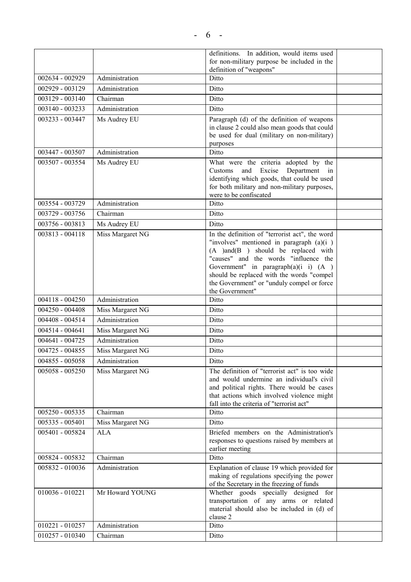|                   |                  | definitions. In addition, would items used                                              |  |
|-------------------|------------------|-----------------------------------------------------------------------------------------|--|
|                   |                  | for non-military purpose be included in the<br>definition of "weapons"                  |  |
| 002634 - 002929   | Administration   | Ditto                                                                                   |  |
| 002929 - 003129   | Administration   | Ditto                                                                                   |  |
| 003129 - 003140   | Chairman         | Ditto                                                                                   |  |
| 003140 - 003233   | Administration   | Ditto                                                                                   |  |
| 003233 - 003447   | Ms Audrey EU     | Paragraph (d) of the definition of weapons                                              |  |
|                   |                  | in clause 2 could also mean goods that could                                            |  |
|                   |                  | be used for dual (military on non-military)                                             |  |
|                   |                  | purposes                                                                                |  |
| 003447 - 003507   | Administration   | Ditto                                                                                   |  |
| 003507 - 003554   | Ms Audrey EU     | What were the criteria adopted by the<br>and Excise<br>Department in<br>Customs         |  |
|                   |                  | identifying which goods, that could be used                                             |  |
|                   |                  | for both military and non-military purposes,                                            |  |
|                   |                  | were to be confiscated                                                                  |  |
| 003554 - 003729   | Administration   | Ditto                                                                                   |  |
| 003729 - 003756   | Chairman         | Ditto                                                                                   |  |
| 003756 - 003813   | Ms Audrey EU     | Ditto                                                                                   |  |
| 003813 - 004118   | Miss Margaret NG | In the definition of "terrorist act", the word                                          |  |
|                   |                  | "involves" mentioned in paragraph $(a)(i)$<br>$(A)$ and $(B)$ should be replaced with   |  |
|                   |                  | "causes" and the words "influence the                                                   |  |
|                   |                  | Government" in paragraph $(a)(i \ i)$ $(A)$                                             |  |
|                   |                  | should be replaced with the words "compel                                               |  |
|                   |                  | the Government" or "unduly compel or force<br>the Government"                           |  |
| $004118 - 004250$ | Administration   | Ditto                                                                                   |  |
| 004250 - 004408   | Miss Margaret NG | Ditto                                                                                   |  |
| 004408 - 004514   | Administration   | Ditto                                                                                   |  |
| 004514 - 004641   | Miss Margaret NG | Ditto                                                                                   |  |
| 004641 - 004725   | Administration   | Ditto                                                                                   |  |
| 004725 - 004855   | Miss Margaret NG | Ditto                                                                                   |  |
| 004855 - 005058   | Administration   | Ditto                                                                                   |  |
| 005058 - 005250   | Miss Margaret NG | The definition of "terrorist act" is too wide                                           |  |
|                   |                  | and would undermine an individual's civil                                               |  |
|                   |                  | and political rights. There would be cases                                              |  |
|                   |                  | that actions which involved violence might<br>fall into the criteria of "terrorist act" |  |
| $005250 - 005335$ | Chairman         | Ditto                                                                                   |  |
| $005335 - 005401$ | Miss Margaret NG | Ditto                                                                                   |  |
| 005401 - 005824   | <b>ALA</b>       | Briefed members on the Administration's                                                 |  |
|                   |                  | responses to questions raised by members at                                             |  |
|                   |                  | earlier meeting                                                                         |  |
| 005824 - 005832   | Chairman         | Ditto                                                                                   |  |
| 005832 - 010036   | Administration   | Explanation of clause 19 which provided for                                             |  |
|                   |                  | making of regulations specifying the power<br>of the Secretary in the freezing of funds |  |
| $010036 - 010221$ | Mr Howard YOUNG  | Whether goods specially designed for                                                    |  |
|                   |                  | transportation of any arms or related                                                   |  |
|                   |                  | material should also be included in (d) of                                              |  |
| 010221 - 010257   | Administration   | clause 2<br>Ditto                                                                       |  |
| 010257 - 010340   | Chairman         | Ditto                                                                                   |  |
|                   |                  |                                                                                         |  |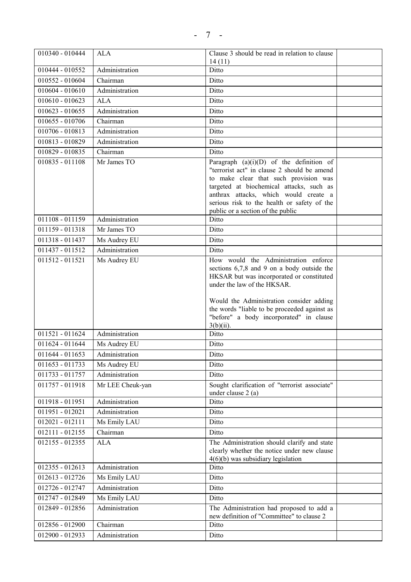| 010340 - 010444              | <b>ALA</b>       | Clause 3 should be read in relation to clause                                             |  |
|------------------------------|------------------|-------------------------------------------------------------------------------------------|--|
| 010444 - 010552              | Administration   | 14(11)<br>Ditto                                                                           |  |
| 010552 - 010604              | Chairman         | Ditto                                                                                     |  |
| $010604 - 010610$            | Administration   | Ditto                                                                                     |  |
| $010610 - 010623$            | <b>ALA</b>       | Ditto                                                                                     |  |
|                              | Administration   |                                                                                           |  |
| $010623 - 010655$            |                  | Ditto                                                                                     |  |
| 010655 - 010706              | Chairman         | Ditto                                                                                     |  |
| 010706 - 010813              | Administration   | Ditto                                                                                     |  |
| 010813 - 010829              | Administration   | Ditto                                                                                     |  |
| 010829 - 010835              | Chairman         | Ditto                                                                                     |  |
| 010835 - 011108              | Mr James TO      | Paragraph $(a)(i)(D)$ of the definition of<br>"terrorist act" in clause 2 should be amend |  |
|                              |                  | to make clear that such provision was                                                     |  |
|                              |                  | targeted at biochemical attacks, such as                                                  |  |
|                              |                  | anthrax attacks, which would create a                                                     |  |
|                              |                  | serious risk to the health or safety of the<br>public or a section of the public          |  |
| 011108 - 011159              | Administration   | Ditto                                                                                     |  |
| 011159 - 011318              | Mr James TO      | Ditto                                                                                     |  |
| 011318 - 011437              | Ms Audrey EU     | Ditto                                                                                     |  |
| 011437 - 011512              | Administration   | Ditto                                                                                     |  |
| 011512 - 011521              | Ms Audrey EU     | How would the Administration enforce                                                      |  |
|                              |                  | sections $6,7,8$ and 9 on a body outside the                                              |  |
|                              |                  | HKSAR but was incorporated or constituted<br>under the law of the HKSAR.                  |  |
|                              |                  |                                                                                           |  |
|                              |                  | Would the Administration consider adding                                                  |  |
|                              |                  | the words "liable to be proceeded against as                                              |  |
|                              |                  | "before" a body incorporated" in clause                                                   |  |
| $011521 - 011624$            | Administration   | $3(b)(ii)$ .<br>Ditto                                                                     |  |
| 011624 - 011644              | Ms Audrey EU     | Ditto                                                                                     |  |
| 011644 - 011653              | Administration   | Ditto                                                                                     |  |
| 011653 - 011733              | Ms Audrey EU     | Ditto                                                                                     |  |
| 011733 - 011757              | Administration   | Ditto                                                                                     |  |
| 011757 - 011918              | Mr LEE Cheuk-yan | Sought clarification of "terrorist associate"                                             |  |
|                              |                  | under clause 2 (a)                                                                        |  |
| 011918 - 011951              | Administration   | Ditto                                                                                     |  |
| 011951 - 012021              | Administration   | Ditto                                                                                     |  |
| $\overline{012021} - 012111$ | Ms Emily LAU     | Ditto                                                                                     |  |
| $012111 - 012155$            | Chairman         | Ditto                                                                                     |  |
| 012155 - 012355              | <b>ALA</b>       | The Administration should clarify and state                                               |  |
|                              |                  | clearly whether the notice under new clause                                               |  |
| 012355 - 012613              | Administration   | $4(6)(b)$ was subsidiary legislation<br>Ditto                                             |  |
| 012613 - 012726              | Ms Emily LAU     | Ditto                                                                                     |  |
| 012726 - 012747              | Administration   | Ditto                                                                                     |  |
|                              |                  |                                                                                           |  |
| 012747 - 012849              | Ms Emily LAU     | Ditto                                                                                     |  |
| 012849 - 012856              | Administration   | The Administration had proposed to add a<br>new definition of "Committee" to clause 2     |  |
| 012856 - 012900              | Chairman         | Ditto                                                                                     |  |
| 012900 - 012933              | Administration   | Ditto                                                                                     |  |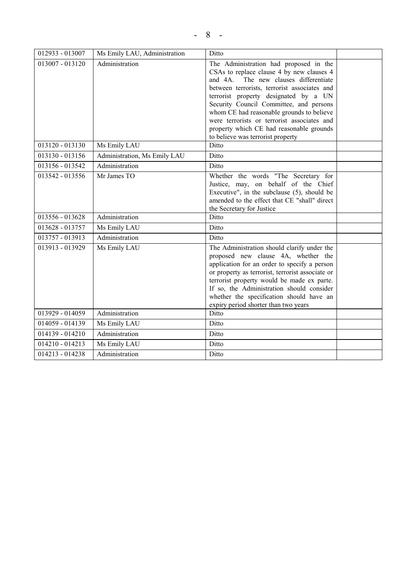| 012933 - 013007   | Ms Emily LAU, Administration | Ditto                                                                                                                                                                                                                                                                                                                                                                                                                                         |  |
|-------------------|------------------------------|-----------------------------------------------------------------------------------------------------------------------------------------------------------------------------------------------------------------------------------------------------------------------------------------------------------------------------------------------------------------------------------------------------------------------------------------------|--|
| 013007 - 013120   | Administration               | The Administration had proposed in the<br>CSAs to replace clause 4 by new clauses 4<br>and 4A. The new clauses differentiate<br>between terrorists, terrorist associates and<br>terrorist property designated by a UN<br>Security Council Committee, and persons<br>whom CE had reasonable grounds to believe<br>were terrorists or terrorist associates and<br>property which CE had reasonable grounds<br>to believe was terrorist property |  |
| 013120 - 013130   | Ms Emily LAU                 | Ditto                                                                                                                                                                                                                                                                                                                                                                                                                                         |  |
| 013130 - 013156   | Administration, Ms Emily LAU | Ditto                                                                                                                                                                                                                                                                                                                                                                                                                                         |  |
| 013156 - 013542   | Administration               | Ditto                                                                                                                                                                                                                                                                                                                                                                                                                                         |  |
| 013542 - 013556   | Mr James TO                  | Whether the words "The Secretary for<br>Justice, may, on behalf of the Chief<br>Executive", in the subclause (5), should be<br>amended to the effect that CE "shall" direct<br>the Secretary for Justice                                                                                                                                                                                                                                      |  |
| 013556 - 013628   | Administration               | Ditto                                                                                                                                                                                                                                                                                                                                                                                                                                         |  |
| 013628 - 013757   | Ms Emily LAU                 | Ditto                                                                                                                                                                                                                                                                                                                                                                                                                                         |  |
| 013757 - 013913   | Administration               | Ditto                                                                                                                                                                                                                                                                                                                                                                                                                                         |  |
| 013913 - 013929   | Ms Emily LAU                 | The Administration should clarify under the<br>proposed new clause 4A, whether the<br>application for an order to specify a person<br>or property as terrorist, terrorist associate or<br>terrorist property would be made ex parte.<br>If so, the Administration should consider<br>whether the specification should have an<br>expiry period shorter than two years                                                                         |  |
| 013929 - 014059   | Administration               | Ditto                                                                                                                                                                                                                                                                                                                                                                                                                                         |  |
| 014059 - 014139   | Ms Emily LAU                 | Ditto                                                                                                                                                                                                                                                                                                                                                                                                                                         |  |
| $014139 - 014210$ | Administration               | Ditto                                                                                                                                                                                                                                                                                                                                                                                                                                         |  |
| 014210 - 014213   | Ms Emily LAU                 | Ditto                                                                                                                                                                                                                                                                                                                                                                                                                                         |  |
| 014213 - 014238   | Administration               | Ditto                                                                                                                                                                                                                                                                                                                                                                                                                                         |  |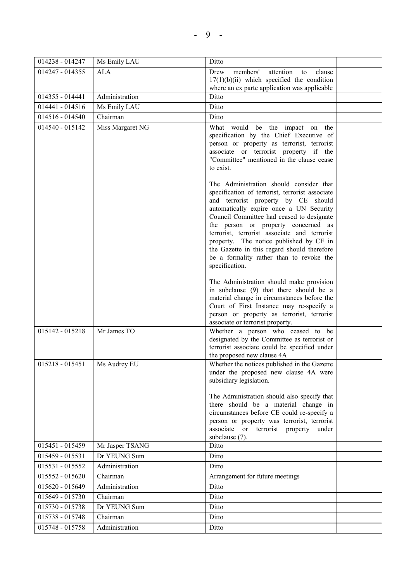| 014238 - 014247   | Ms Emily LAU     | Ditto                                                                                  |  |
|-------------------|------------------|----------------------------------------------------------------------------------------|--|
| 014247 - 014355   | <b>ALA</b>       | members'<br>attention<br>clause<br>Drew<br>to                                          |  |
|                   |                  | $17(1)(b)(ii)$ which specified the condition                                           |  |
|                   |                  | where an ex parte application was applicable                                           |  |
| $014355 - 014441$ | Administration   | Ditto                                                                                  |  |
| 014441 - 014516   | Ms Emily LAU     | Ditto                                                                                  |  |
| 014516 - 014540   | Chairman         | Ditto                                                                                  |  |
| 014540 - 015142   | Miss Margaret NG | What would be the impact on the                                                        |  |
|                   |                  | specification by the Chief Executive of<br>person or property as terrorist, terrorist  |  |
|                   |                  | associate or terrorist property if the                                                 |  |
|                   |                  | "Committee" mentioned in the clause cease                                              |  |
|                   |                  | to exist.                                                                              |  |
|                   |                  | The Administration should consider that                                                |  |
|                   |                  | specification of terrorist, terrorist associate                                        |  |
|                   |                  | and terrorist property by CE should                                                    |  |
|                   |                  | automatically expire once a UN Security                                                |  |
|                   |                  | Council Committee had ceased to designate                                              |  |
|                   |                  | the person or property concerned as<br>terrorist, terrorist associate and terrorist    |  |
|                   |                  | property. The notice published by CE in                                                |  |
|                   |                  | the Gazette in this regard should therefore                                            |  |
|                   |                  | be a formality rather than to revoke the                                               |  |
|                   |                  | specification.                                                                         |  |
|                   |                  | The Administration should make provision                                               |  |
|                   |                  | in subclause (9) that there should be a                                                |  |
|                   |                  | material change in circumstances before the                                            |  |
|                   |                  | Court of First Instance may re-specify a<br>person or property as terrorist, terrorist |  |
|                   |                  | associate or terrorist property.                                                       |  |
| 015142 - 015218   | Mr James TO      | Whether a person who ceased to be                                                      |  |
|                   |                  | designated by the Committee as terrorist or                                            |  |
|                   |                  | terrorist associate could be specified under<br>the proposed new clause 4A             |  |
| 015218 - 015451   | Ms Audrey EU     | Whether the notices published in the Gazette                                           |  |
|                   |                  | under the proposed new clause 4A were                                                  |  |
|                   |                  | subsidiary legislation.                                                                |  |
|                   |                  | The Administration should also specify that                                            |  |
|                   |                  | there should be a material change in                                                   |  |
|                   |                  | circumstances before CE could re-specify a                                             |  |
|                   |                  | person or property was terrorist, terrorist                                            |  |
|                   |                  | associate or terrorist property under<br>subclause (7).                                |  |
| 015451 - 015459   | Mr Jasper TSANG  | Ditto                                                                                  |  |
| 015459 - 015531   | Dr YEUNG Sum     | Ditto                                                                                  |  |
| 015531 - 015552   | Administration   | Ditto                                                                                  |  |
| 015552 - 015620   | Chairman         | Arrangement for future meetings                                                        |  |
| 015620 - 015649   | Administration   | Ditto                                                                                  |  |
| 015649 - 015730   | Chairman         | Ditto                                                                                  |  |
| 015730 - 015738   | Dr YEUNG Sum     | Ditto                                                                                  |  |
| 015738 - 015748   | Chairman         | Ditto                                                                                  |  |
| 015748 - 015758   | Administration   | Ditto                                                                                  |  |
|                   |                  |                                                                                        |  |